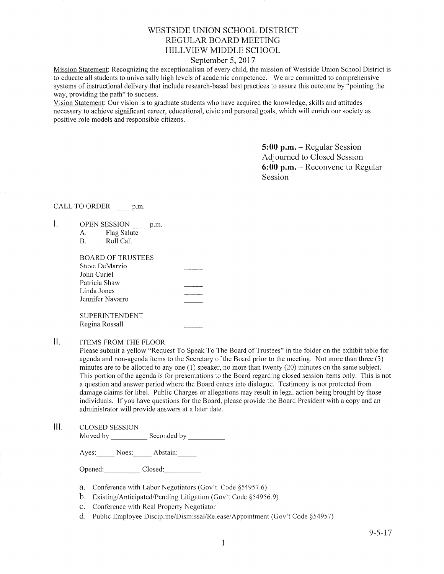## WESTSIDE UNION SCHOOL DISTRICT REGULAR BOARD MEETING HILLVIEW MIDDLE SCHOOL

## September 5, 2017

Mission Statement: Recognizing the exceptionalism of every child, the mission of Westside Union School District is to educate all students to universally high levels of academic competence. We are committed to comprehensive systems of instructional delivery that include research-based best practices to assure this outcome by "pointing the way, providing the path" to success.

Vision Statement: Our vision is to graduate students who have acquired the knowledge, skills and attitudes necessary to achieve significant career, educational, civic and personal goals, which will enrich our society as positive role models and responsible citizens.

> 5:00 p.m. - Regular Session Adjourned to Closed Session 6:00 p.m. - Reconvene to Regular Session

## CALL TO ORDER  $p.m.$

- 1. OPEN SESSION p.m.
	- A. Flag Salute B. Roll Call
	-

| <b>BOARD OF TRUSTEES</b> |               |
|--------------------------|---------------|
| Steve DeMarzio           | ------------- |
| John Curiel              |               |
| Patricia Shaw            |               |
| Linda Jones              |               |
| Jennifer Navarro         |               |
|                          |               |
| <b>SUPERINTENDENT</b>    |               |
| Regina Rossall           |               |

#### Ш. ITEMS FROM THE FLOOR

Please submit a yellow "Request To Speak To The Board of Trustees" in the folder on the exhibit table for agenda and non-agenda items to the Secretary of the Board prior to the meeting. Not more than three (3) minutes are to be allotted to any one  $(1)$  speaker, no more than twenty  $(20)$  minutes on the same subject. This portion of the agenda is for presentations to the Board regarding closed session items only. This is not a question and answer period where the Board enters into dialogue. Testimony is not protected from damage claims for libel. Public Charges or allegations may result in legal action being brought by those individuals. If you have questions for the Board, please provide the Board President with a copy and an administrator will provide answers at a later date.

lll. cLosED sESSroN

Moved by Seconded by Seconded by Seconded by Seconded by Seconded by Seconded by Seconded by Seconded by Seconded by Seconded by Seconded by Seconded by Seconded by Seconded by Seconded by Seconded by Seconded by Seconded

Ayes: Noes: Abstain:

Opened: Closed:

- a. Conference with Labor Negotiators (Gov't. Code \$54957.6)
- b. Existing/Anticipated/Pending Litigation (Gov't Code \$54956.9)
- c. Conference with Real Property Negotiator
- d. Public Employee Discipline/Dismissal/Release/Appointment (Gov't Code §54957)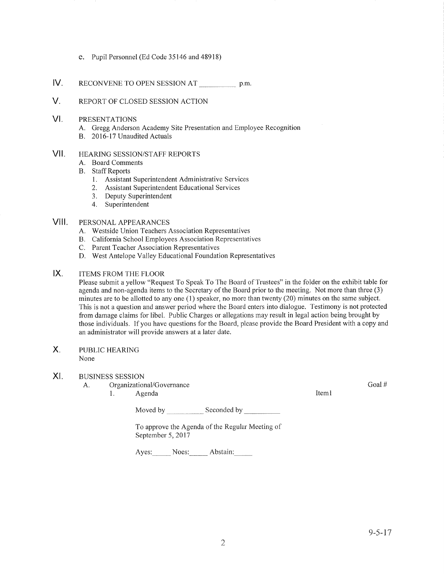- e. Pupil Personnel (Ed Code 35146 and 48918)
- IV RECONVENE TO OPEN SESSION AT \_\_\_\_\_\_\_\_\_\_\_\_\_\_\_\_\_ p.m
- REPORT OF CLOSED SESSION ACTION  $V_{\odot}$
- PRESENTATIONS VI
	- A. Gregg Anderson Academy Site Presentation and Employee Recognition B. 2016-l'/ Unaudited Actuals
	-

#### HEARING SESSION/STAFF REPORTS vil

- A. Board Comments
- B. Staff Reports
	- 1. Assistant Superintendent Administrative Services
	- 2. Assistant Superintendent Educational Services
	- 3. Deputy Superintendent
	- 4. Superintendent

#### PERSONAL APPEARANCES VIII.

- A. Westside Union Teachers Association Representatives
- B. California School Employees Association Representatives<br>C. Parent Teacher Association Representatives
- 
- D. West Antelope Vailey Educational Foundation Representatives

#### ITEMS FROM THE FLOOR  $IX.$

Please submit a yellow "Request To Speak To The Board of Trustees" in the folder on the exhibit table for agenda and non-agenda items to the Secretary of the Board prior to the meeting. Not more than three (3) minutes are to be allotted to any one (1) speaker, no more than twenty (20) minutes on the same subject. This is not a question and answer period where the Board enters into dialogue. Testimony is not protected from damage claims for libel. Public Charges or allegations may result in legal action being brought by those individuals. If you have questions for the Board, please provide the Board President with a copy and an administrator will provide answers at a later date.

#### PUBLIC HEARING None  $X_{1}$

#### XI BUSINESS SESSION

- A. Organizational/Governance
	- 1. Agenda **Item**l

Moved by Seconded by Seconded by Seconded by Seconded by Seconded by Seconded by Seconded by Seconded by Seconded by Seconded by Seconded by Seconded by Seconded by Seconded by Seconded by Seconded by Seconded by Seconded

To approve the Agenda of the Regular Meeting of September 5, 2017

Ayes: Noes: Abstain:

Goal #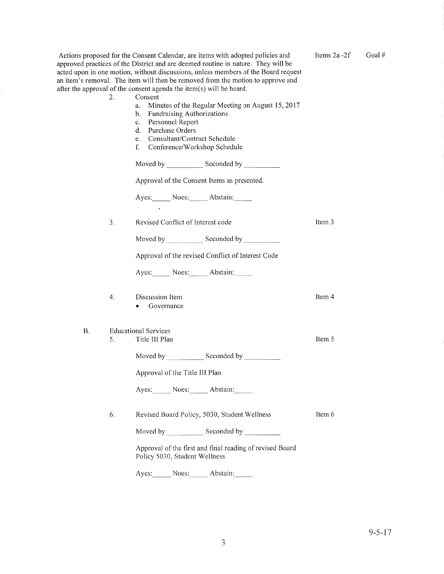| Actions proposed for the Consent Calendar, are items with adopted policies and<br>approved practices of the District and are deemed routine in nature. They will be<br>acted upon in one motion, without discussions, unless members of the Board request<br>an item's removal. The item will then be removed from the motion to approve and<br>after the approval of the consent agenda the item(s) will be heard.<br>Consent<br>2.<br>Minutes of the Regular Meeting on August 15, 2017<br>a.<br><b>Fundraising Authorizations</b><br>$\mathbf{b}$ .<br>Personnel Report<br>c.<br>Purchase Orders<br>$\mathbf{d}$ .<br>Consultant/Contract Schedule<br>e.<br>f.<br>Conference/Workshop Schedule<br>Moved by ______________ Seconded by ____________<br>Approval of the Consent Items as presented.<br>Ayes: Noes: Abstain: |    | Items $2a - 2f$                                                                                                                                                   | Goal#  |  |
|------------------------------------------------------------------------------------------------------------------------------------------------------------------------------------------------------------------------------------------------------------------------------------------------------------------------------------------------------------------------------------------------------------------------------------------------------------------------------------------------------------------------------------------------------------------------------------------------------------------------------------------------------------------------------------------------------------------------------------------------------------------------------------------------------------------------------|----|-------------------------------------------------------------------------------------------------------------------------------------------------------------------|--------|--|
|                                                                                                                                                                                                                                                                                                                                                                                                                                                                                                                                                                                                                                                                                                                                                                                                                              | 3. | Revised Conflict of Interest code<br>Approval of the revised Conflict of Interest Code<br>Ayes: Noes: Abstain:                                                    | Item 3 |  |
|                                                                                                                                                                                                                                                                                                                                                                                                                                                                                                                                                                                                                                                                                                                                                                                                                              | 4. | Discussion Item<br>Governance                                                                                                                                     | Item 4 |  |
| Β.                                                                                                                                                                                                                                                                                                                                                                                                                                                                                                                                                                                                                                                                                                                                                                                                                           | 5. | <b>Educational Services</b><br>Title III Plan<br>Moved by _______________ Seconded by __________<br>Approval of the Title III Plan<br>Ayes: Noes: Abstain:        | Item 5 |  |
|                                                                                                                                                                                                                                                                                                                                                                                                                                                                                                                                                                                                                                                                                                                                                                                                                              | 6. | Revised Board Policy, 5030, Student Wellness<br>Approval of the first and final reading of revised Board<br>Policy 5030, Student Wellness<br>Ayes: Noes: Abstain: | Item 6 |  |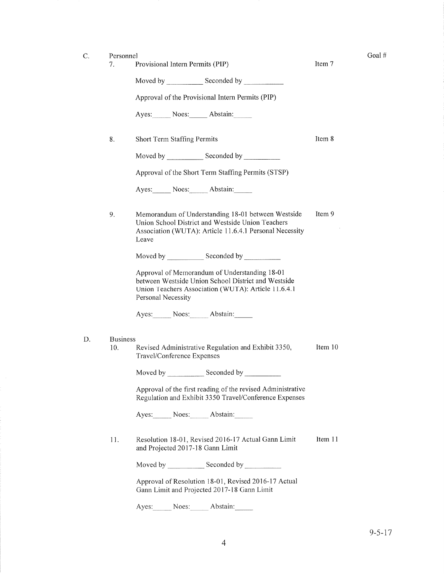| Provisional Intern Permits (PIP) |  |  |
|----------------------------------|--|--|
|                                  |  |  |

Item 7

Goal #

Moved by \_\_\_\_\_\_\_\_\_\_\_\_\_ Seconded by \_

Approval of the Provisional Intern Permits (PIP)

Ayes: Noes: Abstain:

8. Short Term Staffing Permits Item 8

Moved by \_\_\_\_\_\_\_\_\_\_\_\_\_ Seconded by \_

Approval of the Short Term Staffing Permits (STSP)

Ayes: Noes: Abstain:

Memorandum of Understanding 18-01 between Westside Union School District and Westside Union Teachers Association (WUTA): Article 11.6.4.1 Personal Necessity Leave Item 9 9.

Moved by Seconded by Seconded by

Approval of Memorandum of Understanding 18-01 between Westside Union School District and Westside Union Teachers Association (WUTA): Article 11.6.4,1 Personal Necessity

Ayes: Noes: Abstain:

- D. Business
	- Revised Administrative Regulation and Exhibit 3350, Travel/Conference Expenses Item 10 10.

Moved by \_\_\_\_\_\_\_\_\_\_\_\_ Seconded by

Approval of the first reading of the revised Administrative Regulation and Exhibit 3350 Travel/Conference Expenses

Ayes: Noes: Abstain:

11. Resolution 18-01, Revised 2016-17 Actual Gann Limit and Projected 2011-18 Gann Limit Item <sup>1</sup><sup>1</sup>

Moved by Seconded by Seconded by Seconded by Seconded by Seconded by Seconded by Seconded by Seconded by Seconded by Seconded by Seconded by Seconded by Seconded by Seconded by Seconded by Seconded by Seconded by Seconded

Approval of Resolution 18-01, Revised 2016-17 Actual Gann Limit and Projected 2017-18 Gann Limit

Ayes: Noes: Abstain: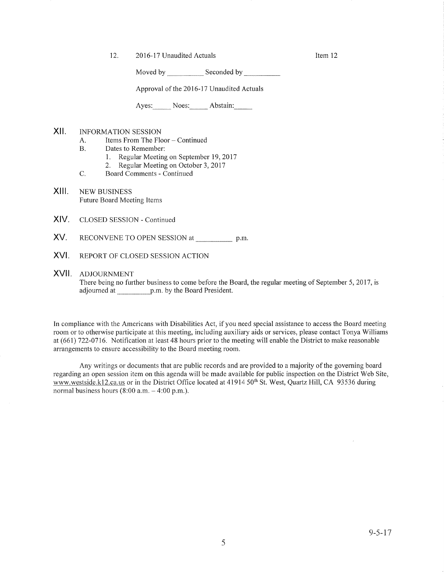12. 2016-17 Unaudited Actuals ltem 12

Moved by Seconded by Seconded by Seconded by Seconded by Seconded by Seconded by Seconded by Seconded by Seconded by Seconded by Seconded by Seconded by Seconded by Seconded by Seconded by Seconded by Seconded by Seconded

Approval of the 2016-17 Unaudited Actuals

Ayes: Noes: Abstain:

## XII. INFORMATION SESSION

- A. Items From The Floor Continued<br>B. Dates to Remember:
- - 1. Regular Meeting on September 19,2017
- 2. Regular Meeting on October 3,2017 C. Board Comments Continued
- 
- XIII. NEW BUSINESS Future Board Meeting Items
- XIV. CLOSED SESSION - Continued
- XV. RECONVENE TO OPEN SESSION at p.m.
- XVI. REPORT OF CLOSED SESSION ACTION

## XVII ADJOURNMENT

There being no further business to come before the Board, the regular meeting of September 5, 2017, is adjourned at p.rn. by the Board President.

In compliance with the Americans with Disabilities Act, if you need special assistance to access the Board meeting room or to otherwise participate at this meeting, including auxiliary aids or services, please contact Tonya Williams at (661) 722-0716. Notification at least 48 hours prior to the meeting will enable the District to make reasonable arrangements to ensure accessibility to the Board meeting room.

Any writings or docurnents that are public records and are provided to a majority of the governing board regarding an open session item on this agenda wili be made available for public inspection on the District Web Site, www.westside.kl2.ca.us or in the District Office located at 41914 50<sup>th</sup> St. West, Quartz Hill, CA 93536 during normal business hours  $(8:00$  a.m.  $-4:00$  p.m.).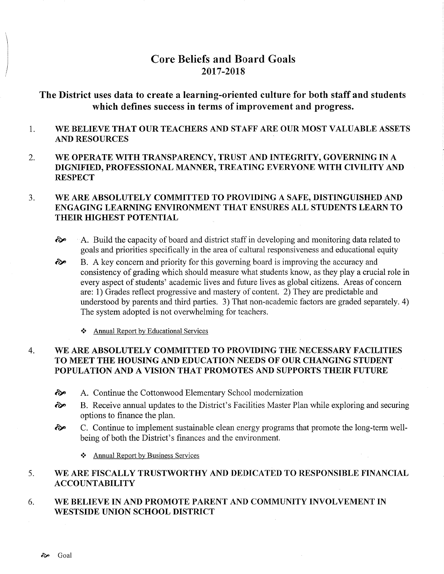# Core Beliefs and Board Goals 2017 -2018

The District uses data to create a learning-oriented culture for both staff and students which defines success in terms of improvement and progress.

- I WE BELIEVE THAT OUR TEACHERS AND STAFF ARE OUR MOST VALUABLE ASSETS AND RESOURCES
- 2. WE OPERATE WITH TRANSPARENCY, TRUST AND INTEGRITY, GOVERNING IN A DIGNIFIED, PROFESSIONAL MANNER, TREATING EVERYONE WITH CIVILITY AND **RESPECT**

### WE ARE ABSOLUTELY COMMITTED TO PROVIDING A SAFE, DISTINGUISHED AND ENGAGING LEARNING ENVIRONMENT THAT ENSURES ALL STUDENTS LEARN TO THEIR HIGHEST POTENTIAL 3

- $\odot$  A. Build the capacity of board and district staff in developing and monitoring data related to goals and priorities specifically in the area of cultural responsiveness and educational equity
- B. A key concern and priority for this governing board is improving the accuracy and consistency of grading which should measure what students know, as they play a crucial role in every aspect of students' academic lives and future lives as global citizens. Areas of concem are: 1) Grades reflect progressive and mastery of content. 2) They are predictable and understood by parents and third parties. 3) That non-academic factors are graded separately. 4) The system adopted is not overwhelming for teachers. ôp
	- ❖ Annual Report by Educational Services

### WE ARE ABSOLUTELY COMMITTED TO PROVIDING THE NECESSARY FACILITIES TO MEET THE HOUSING AND EDUCATION NEEDS OF OUR CHANGING STUDENT POPULATION AND A VISION THAT PROMOTES AND SUPPORTS THEIR FUTURE 4

- $\lambda$ . Continue the Cottonwood Elementary School modernization
- ôe B. Receive annual updates to the District's Facilities Master Plan while exploring and securing options to finance the plan.
- $\odot$  C. Continue to implement sustainable clean energy programs that promote the long-term wellbeing of both the District's finances and the environment.
	- \* Annual Report by Business Services

### WE ARE FISCALLY TRUSTWORTHY AND DEDICATED TO RESPONSIBLE FINANCIAL ACCOUNTABILITY 5.

### WE BELIEVE IN AND PROMOTE PARENT AND COMMUNITY INVOLVEMENT IN WESTSIDE UNION SCHOOL DISTRICT 6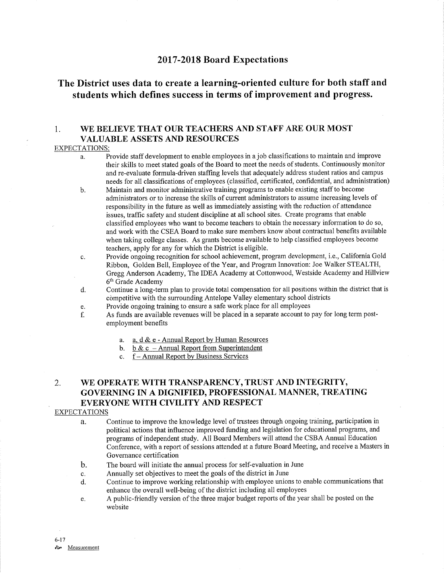## <sup>2017</sup>-2018 Board Expectations

# The District uses data to create a learning-oriented culture for both staff and students which defines success in terms of improvement and progress.

## 1. WE BELIEVE THAT OUR TEACHERS AND STAFF ARE OUR MOST VALUABLE ASSETS AND RESOURCES

## EXPECTATIONS:

- a. Provide staff development to enable employees in a job classifications to maintain and improve their skills to meet stated goals of the Board to meet the needs of students. Continuously monitor and re-evaluate formula-driven staffing levels that adequately address student ratios and campus needs for all classifications of employees (classified, certificated, confidential, and administration)
- b. Maintain and monitor administrative training programs to enable existing staff to become administrators or to increase the skills of current administrators to assume increasing levels of responsibility in the future as well as immediately assisting with the reduction of attendance issues, traffic safety and student discipline at all school sites. Create programs that enable classified employees who want to become teachers to obtain the necessary infotmation to do so, and work with the CSEA Board to make sure members know about contractual benefits available when taking college classes. As grants become available to help classified employees become teachers, apply for any for which the District is eligible.
- c. Provide ongoing recognition for school achievement, program development, i.e., California Gold Ribbon, Golden Bell, Employee of the Year, and Program Innovation: Joe Walker STEALTH, Gregg Anderson Academy, The IDEA Academy at Cottonwood, Westside Academy and Hillview 6th Grade Academy
- d. Continue a long-term plan to provide total compensation for all positions within the district that is cômpetitive with the surrounding Antelope Valley elementary school districts
- 
- e. Provide ongoing training to ensure a safe work place for all employees f. As funds are available revenues will be placed in a separate account to pay for long term postemployment benefits
	- a. d & e Annual Report by Human Resources a.
	- b. b & c Annual Report from Superintenden
	- c. f-Annual Report by Business Services

# 2. WE OPERATE WITH TRANSPARENCY, TRUST AND INTEGRITY, GOVERNING IN A DIGNIFIED, PROFESSIONAL MANNER, TREATING EVERYONE WITH CIVILITY AND RESPECT

### EXPECTATIONS

- a. Continue to improve the knowledge level of trustees through ongoing training, participation in polìtical actions that influence improved funding and legislation for educational programs, and programs of independent study. All Board Members will attend the CSBA Annual Education Conference, with a report of sessions attended at a future Board Meeting, and receive a Masters in Governance certification
- The board will initiate the annual process for self-evaluation in June  $\mathbf b$ .
- Annually set objectives to meet the goals of the district in June c.
- Continue to improve working relationship with employee unions to enable communications that enhance the overall well-being of the district including all employees d.
- A public-friendly version of the three major budget reports of the year shall be posted on the website e.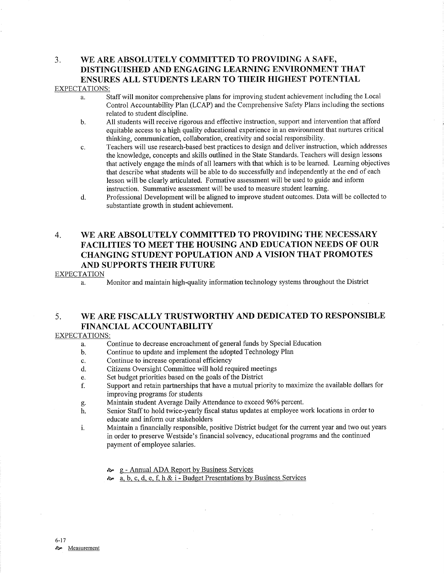# 3. WB ARE ABSOLUTELY COMMITTED TO PROVIDING A SAFE, DISTINGUISHED AND ENGAGING LEARNING ENVIRONMENT THAT ENSURES ALL STUDENTS LEARN TO THEIR HIGHEST POTBNTIAL

## EXPECTATIONS:

- a. Staff will monitor comprehensive plans for improving student achievement including the Local Control Accountabilify Plan (LCAP) and the Comprehensive Safety Plans including the sections related to student discipline.
- b. All students will receive rigorous and effective instruction, suppofi and intervention that afford equitable access to a high quality educational experience in an environment that nuffures critical thinking, communication, collaboration, creativity and social responsibility.
- c. Teachers will use research-based best practices to design and deliver instruction, which addresses the knowledge, concepts and skills outlined in the State Standards. Teachers will design lessons that actively engage the minds of all leamers with that which is to be learned. Leaming objectives that describe what students will be able to do successfully and independently at the end of each lesson will be clearly articulated. Formative assessment will be used to guide and inform instruction. Summative assessment will be used to measure student learning.
- d. Professional Development will be aligned to improve student outcomes. Data will be collected to substantiate growth in student achievement.

# 4. WE ARE ABSOLUTELY COMMITTED TO PROVIDING THE NECESSARY FACILITIES TO MEET THE HOUSING AND EDUCATION NEEDS OF OUR CHANGING STUDENT POPULATION AND A VISION THAT PROMOTES AND SUPPORTS THEIR FUTURE

## EXPECTATION

a. Monitor and maintain high-quality information technology systems throughout the District

# 5. WE ARE FISCALLY TRUSTWORTHY AND DEDICATED TO RESPONSIBLE FINANCIAL ACCOUNTABILITY

## EXPECTATIONS:

- a. Continue to decrease encroachment of general funds by Special Education
- b. Continue to update and implement the adopted Technology Plan
- c. Continue to increase operational efficiency
- d. Citizens Oversight Committee will hold required meetings
- e. Set budget priorities based on the goals of the District
- f. Support and retain partnerships that have a mutual priority to maximize the available dollars for improving programs for students<br>Maintain student Average Daily Attendance to exceed 96% percent.
- 
- g. Maintain student Average Daily Attendance to exceed 96% percent.<br>h. Senior Staff to hold twice-yearly fiscal status updates at employee work locations in order to educate and inform our stakeholders
- i. Maintain a financially responsible, positive District budget for the current year and two out years in order to preserve Westside's financial solvency, educational programs and the continued payment of employee salaries.
	- & g Annual ADA Report by Business Services
	- $\lambda$  a, b, c, d, e, f, h & i Budget Presentations by Business Services